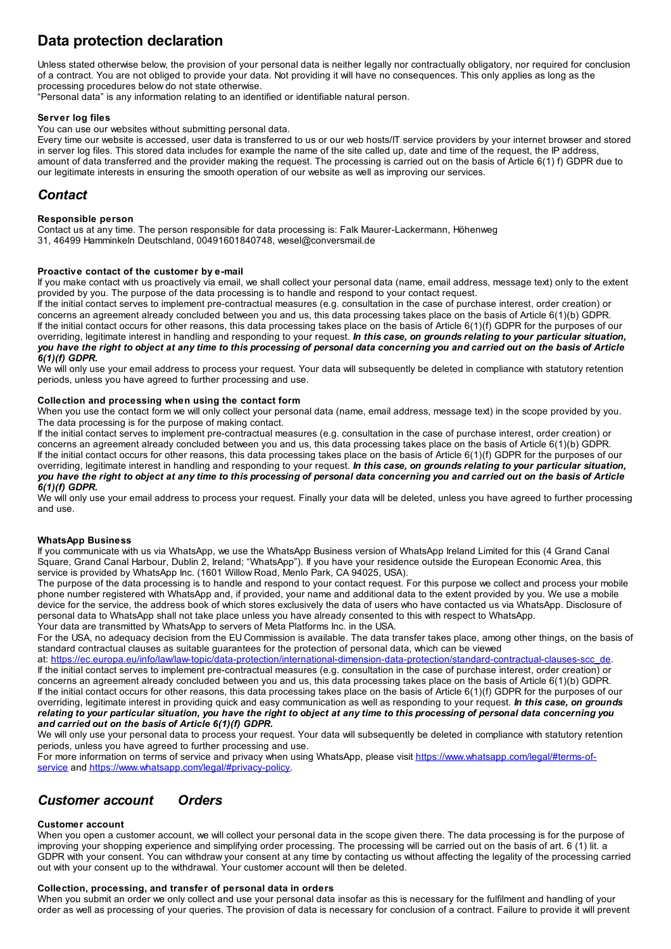# **Data protection declaration**

Unless stated otherwise below, the provision of your personal data is neither legally nor contractually obligatory, nor required for conclusion of a contract. You are not obliged to provide your data. Not providing it will have no consequences. This only applies as long as the processing procedures below do not state otherwise.

"Personal data" is any information relating to an identified or identifiable natural person.

### **Server log files**

You can use our websites without submitting personal data.

Every time our website is accessed, user data is transferred to us or our web hosts/IT service providers by your internet browser and stored in server log files. This stored data includes for example the name of the site called up, date and time of the request, the IP address, amount of data transferred and the provider making the request. The processing is carried out on the basis of Article 6(1) f) GDPR due to our legitimate interests in ensuring the smooth operation of our website as well as improving our services.

## *Contact*

### **Responsible person**

Contact us at any time. The person responsible for data processing is: Falk Maurer-Lackermann, Höhenweg 31, 46499 Hamminkeln Deutschland, 00491601840748, wesel@conversmail.de

### **Proactive contact of the customer by e-mail**

If you make contact with us proactively via email, we shall collect your personal data (name, email address, message text) only to the extent provided by you. The purpose of the data processing is to handle and respond to your contact request.

If the initial contact serves to implement pre-contractual measures (e.g. consultation in the case of purchase interest, order creation) or concerns an agreement already concluded between you and us, this data processing takes place on the basis of Article 6(1)(b) GDPR. If the initial contact occurs for other reasons, this data processing takes place on the basis of Article 6(1)(f) GDPR for the purposes of our overriding, legitimate interest in handling and responding to your request. *In this case, on grounds relating to your particular situation,* you have the right to object at any time to this processing of personal data concerning you and carried out on the basis of Article *6(1)(f) GDPR.*

We will only use your email address to process your request. Your data will subsequently be deleted in compliance with statutory retention periods, unless you have agreed to further processing and use.

### **Collection and processing when using the contact form**

When you use the contact form we will only collect your personal data (name, email address, message text) in the scope provided by you. The data processing is for the purpose of making contact.

If the initial contact serves to implement pre-contractual measures (e.g. consultation in the case of purchase interest, order creation) or concerns an agreement already concluded between you and us, this data processing takes place on the basis of Article 6(1)(b) GDPR. If the initial contact occurs for other reasons, this data processing takes place on the basis of Article 6(1)(f) GDPR for the purposes of our overriding, legitimate interest in handling and responding to your request. *In this case, on grounds relating to your particular situation,* you have the right to object at any time to this processing of personal data concerning you and carried out on the basis of Article *6(1)(f) GDPR.*

We will only use your email address to process your request. Finally your data will be deleted, unless you have agreed to further processing and use.

### **WhatsApp Business**

If you communicate with us via WhatsApp, we use the WhatsApp Business version of WhatsApp Ireland Limited for this (4 Grand Canal Square, Grand Canal Harbour, Dublin 2, Ireland; "WhatsApp"). If you have your residence outside the European Economic Area, this service is provided by WhatsApp Inc. (1601 Willow Road, Menlo Park, CA 94025, USA).

The purpose of the data processing is to handle and respond to your contact request. For this purpose we collect and process your mobile phone number registered with WhatsApp and, if provided, your name and additional data to the extent provided by you. We use a mobile device for the service, the address book of which stores exclusively the data of users who have contacted us via WhatsApp. Disclosure of personal data to WhatsApp shall not take place unless you have already consented to this with respect to WhatsApp. Your data are transmitted by WhatsApp to servers of Meta Platforms Inc. in the USA.

For the USA, no adequacy decision from the EU Commission is available. The data transfer takes place, among other things, on the basis of standard contractual clauses as suitable guarantees for the protection of personal data, which can be viewed

at: [https://ec.europa.eu/info/law/law-topic/data-protection/international-dimension-data-protection/standard-contractual-clauses-scc\\_de](https://ec.europa.eu/info/law/law-topic/data-protection/international-dimension-data-protection/standard-contractual-clauses-scc_de). If the initial contact serves to implement pre-contractual measures (e.g. consultation in the case of purchase interest, order creation) or concerns an agreement already concluded between you and us, this data processing takes place on the basis of Article 6(1)(b) GDPR. If the initial contact occurs for other reasons, this data processing takes place on the basis of Article  $6(1)(f)$  GDPR for the purposes of our overriding, legitimate interest in providing quick and easy communication as well as responding to your request. *In this case, on grounds* relating to your particular situation, you have the right to object at any time to this processing of personal data concerning you *and carried out on the basis of Article 6(1)(f) GDPR.*

We will only use your personal data to process your request. Your data will subsequently be deleted in compliance with statutory retention periods, unless you have agreed to further processing and use.

For more information on terms of service and privacy when using WhatsApp, please visit https://www.whatsapp.com/legal/#terms-ofservice and [https://www.whatsapp.com/legal/#privacy-policy.](https://www.whatsapp.com/legal/#terms-of-service)

# *Customer account Orders*

### **Customer account**

When you open a customer account, we will collect your personal data in the scope given there. The data processing is for the purpose of improving your shopping experience and simplifying order processing. The processing will be carried out on the basis of art. 6 (1) lit. a GDPR with your consent. You can withdraw your consent at any time by contacting us without affecting the legality of the processing carried out with your consent up to the withdrawal. Your customer account will then be deleted.

### **Collection, processing, and transfer of personal data in orders**

When you submit an order we only collect and use your personal data insofar as this is necessary for the fulfilment and handling of your order as well as processing of your queries. The provision of data is necessary for conclusion of a contract. Failure to provide it will prevent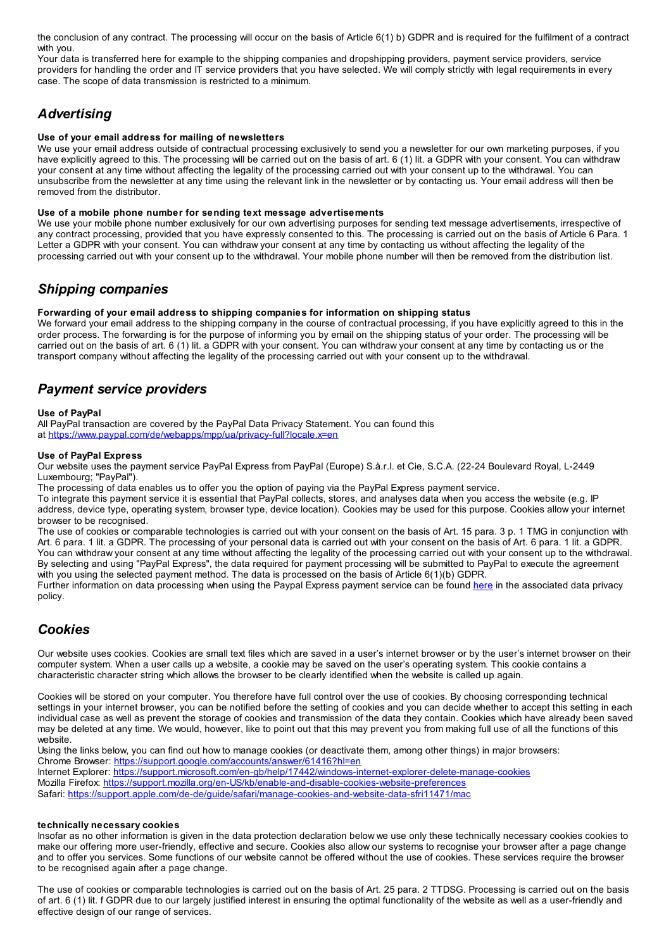the conclusion of any contract. The processing will occur on the basis of Article 6(1) b) GDPR and is required for the fulfilment of a contract with you.

Your data is transferred here for example to the shipping companies and dropshipping providers, payment service providers, service providers for handling the order and IT service providers that you have selected. We will comply strictly with legal requirements in every case. The scope of data transmission is restricted to a minimum.

# *Advertising*

### **Use of your email address for mailing of newsletters**

We use your email address outside of contractual processing exclusively to send you a newsletter for our own marketing purposes, if you have explicitly agreed to this. The processing will be carried out on the basis of art. 6 (1) lit. a GDPR with your consent. You can withdraw your consent at any time without affecting the legality of the processing carried out with your consent up to the withdrawal. You can unsubscribe from the newsletter at any time using the relevant link in the newsletter or by contacting us. Your email address will then be removed from the distributor.

### **Use of a mobile phone number for sending text message advertisements**

We use your mobile phone number exclusively for our own advertising purposes for sending text message advertisements, irrespective of any contract processing, provided that you have expressly consented to this. The processing is carried out on the basis of Article 6 Para. 1 Letter a GDPR with your consent. You can withdraw your consent at any time by contacting us without affecting the legality of the processing carried out with your consent up to the withdrawal. Your mobile phone number will then be removed from the distribution list.

### *Shipping companies*

### **Forwarding of your email address to shipping companies for information on shipping status**

We forward your email address to the shipping company in the course of contractual processing, if you have explicitly agreed to this in the order process. The forwarding is for the purpose of informing you by email on the shipping status of your order. The processing will be carried out on the basis of art. 6 (1) lit. a GDPR with your consent. You can withdraw your consent at any time by contacting us or the transport company without affecting the legality of the processing carried out with your consent up to the withdrawal.

## *Payment service providers*

### **Use of PayPal**

All PayPal transaction are covered by the PayPal Data Privacy Statement. You can found this at <https://www.paypal.com/de/webapps/mpp/ua/privacy-full?locale.x=en>

### **Use of PayPal Express**

Our website uses the payment service PayPal Express from PayPal (Europe) S.à.r.l. et Cie, S.C.A. (22-24 Boulevard Royal, L-2449 Luxembourg; "PayPal").

The processing of data enables us to offer you the option of paying via the PayPal Express payment service.

To integrate this payment service it is essential that PayPal collects, stores, and analyses data when you access the website (e.g. IP address, device type, operating system, browser type, device location). Cookies may be used for this purpose. Cookies allow your internet browser to be recognised.

The use of cookies or comparable technologies is carried out with your consent on the basis of Art. 15 para. 3 p. 1 TMG in conjunction with Art. 6 para. 1 lit. a GDPR. The processing of your personal data is carried out with your consent on the basis of Art. 6 para. 1 lit. a GDPR. You can withdraw your consent at any time without affecting the legality of the processing carried out with your consent up to the withdrawal. By selecting and using "PayPal Express", the data required for payment processing will be submitted to PayPal to execute the agreement with you using the selected payment method. The data is processed on the basis of Article 6(1)(b) GDPR.

Further information on data processing when using the Paypal Express payment service can be found [here](https://www.paypal.com/de/webapps/mpp/ua/privacy-full?locale.x=de_DE#Updated_PS) in the associated data privacy policy.

## *Cookies*

Our website uses cookies. Cookies are small text files which are saved in a user's internet browser or by the user's internet browser on their computer system. When a user calls up a website, a cookie may be saved on the user's operating system. This cookie contains a characteristic character string which allows the browser to be clearly identified when the website is called up again.

Cookies will be stored on your computer. You therefore have full control over the use of cookies. By choosing corresponding technical settings in your internet browser, you can be notified before the setting of cookies and you can decide whether to accept this setting in each individual case as well as prevent the storage of cookies and transmission of the data they contain. Cookies which have already been saved may be deleted at any time. We would, however, like to point out that this may prevent you from making full use of all the functions of this website.

Using the links below, you can find out how to manage cookies (or deactivate them, among other things) in major browsers: Chrome Browser: <https://support.google.com/accounts/answer/61416?hl=en> Internet Explorer: <https://support.microsoft.com/en-gb/help/17442/windows-internet-explorer-delete-manage-cookies> Mozilla Firefox: <https://support.mozilla.org/en-US/kb/enable-and-disable-cookies-website-preferences>

### Safari: <https://support.apple.com/de-de/guide/safari/manage-cookies-and-website-data-sfri11471/mac>

### **technically necessary cookies**

Insofar as no other information is given in the data protection declaration below we use only these technically necessary cookies cookies to make our offering more user-friendly, effective and secure. Cookies also allow our systems to recognise your browser after a page change and to offer you services. Some functions of our website cannot be offered without the use of cookies. These services require the browser to be recognised again after a page change.

The use of cookies or comparable technologies is carried out on the basis of Art. 25 para. 2 TTDSG. Processing is carried out on the basis of art. 6 (1) lit. f GDPR due to our largely justified interest in ensuring the optimal functionality of the website as well as a user-friendly and effective design of our range of services.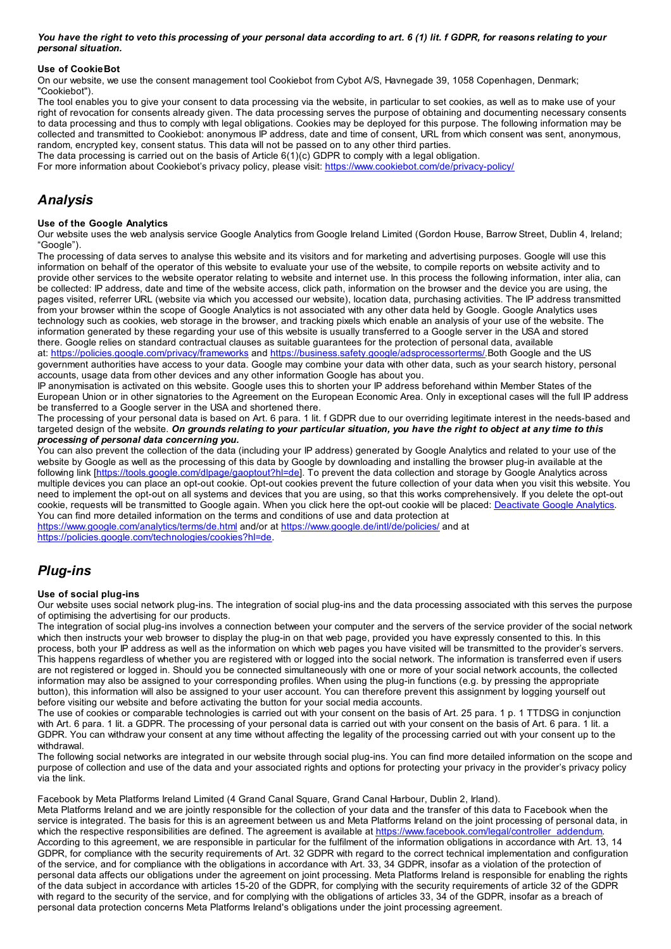You have the right to veto this processing of your personal data according to art. 6 (1) lit. f GDPR, for reasons relating to your *personal situation.*

### **Use of CookieBot**

On our website, we use the consent management tool Cookiebot from Cybot A/S, Havnegade 39, 1058 Copenhagen, Denmark; "Cookiebot").

The tool enables you to give your consent to data processing via the website, in particular to set cookies, as well as to make use of your right of revocation for consents already given. The data processing serves the purpose of obtaining and documenting necessary consents to data processing and thus to comply with legal obligations. Cookies may be deployed for this purpose. The following information may be collected and transmitted to Cookiebot: anonymous IP address, date and time of consent, URL from which consent was sent, anonymous, random, encrypted key, consent status. This data will not be passed on to any other third parties.

The data processing is carried out on the basis of Article 6(1)(c) GDPR to comply with a legal obligation.

For more information about Cookiebot's privacy policy, please visit: <https://www.cookiebot.com/de/privacy-policy/>

## *Analysis*

### **Use of the Google Analytics**

Our website uses the web analysis service Google Analytics from Google Ireland Limited (Gordon House, Barrow Street, Dublin 4, Ireland; "Google").

The processing of data serves to analyse this website and its visitors and for marketing and advertising purposes. Google will use this information on behalf of the operator of this website to evaluate your use of the website, to compile reports on website activity and to provide other services to the website operator relating to website and internet use. In this process the following information, inter alia, can be collected: IP address, date and time of the website access, click path, information on the browser and the device you are using, the pages visited, referrer URL (website via which you accessed our website), location data, purchasing activities. The IP address transmitted from your browser within the scope of Google Analytics is not associated with any other data held by Google. Google Analytics uses technology such as cookies, web storage in the browser, and tracking pixels which enable an analysis of your use of the website. The information generated by these regarding your use of this website is usually transferred to a Google server in the USA and stored there. Google relies on standard contractual clauses as suitable guarantees for the protection of personal data, available at: <https://policies.google.com/privacy/frameworks> and <https://business.safety.google/adsprocessorterms/>.Both Google and the US

government authorities have access to your data. Google may combine your data with other data, such as your search history, personal accounts, usage data from other devices and any other information Google has about you.

IP anonymisation is activated on this website. Google uses this to shorten your IP address beforehand within Member States of the European Union or in other signatories to the Agreement on the European Economic Area. Only in exceptional cases will the full IP address be transferred to a Google server in the USA and shortened there.

The processing of your personal data is based on Art. 6 para. 1 lit. f GDPR due to our overriding legitimate interest in the needs-based and targeted design of the website. On grounds relating to your particular situation, you have the right to object at any time to this *processing of personal data concerning you.*

You can also prevent the collection of the data (including your IP address) generated by Google Analytics and related to your use of the website by Google as well as the processing of this data by Google by downloading and installing the browser plug-in available at the following link [[https://tools.google.com/dlpage/gaoptout?hl=de\]](https://tools.google.com/dlpage/gaoptout?hl=de). To prevent the data collection and storage by Google Analytics across multiple devices you can place an opt-out cookie. Opt-out cookies prevent the future collection of your data when you visit this website. You need to implement the opt-out on all systems and devices that you are using, so that this works comprehensively. If you delete the opt-out cookie, requests will be transmitted to Google again. When you click here the opt-out cookie will be placed: [Deactivate](javascript:gaOptout()) Google Analytics You can find more detailed information on the terms and conditions of use and data protection at

<https://www.google.com/analytics/terms/de.html> and/or at <https://www.google.de/intl/de/policies/> and at <https://policies.google.com/technologies/cookies?hl=de>.

# *Plug-ins*

### **Use of social plug-ins**

Our website uses social network plug-ins. The integration of social plug-ins and the data processing associated with this serves the purpose of optimising the advertising for our products.

The integration of social plug-ins involves a connection between your computer and the servers of the service provider of the social network which then instructs your web browser to display the plug-in on that web page, provided you have expressly consented to this. In this process, both your IP address as well as the information on which web pages you have visited will be transmitted to the provider's servers. This happens regardless of whether you are registered with or logged into the social network. The information is transferred even if users are not registered or logged in. Should you be connected simultaneously with one or more of your social network accounts, the collected information may also be assigned to your corresponding profiles. When using the plug-in functions (e.g. by pressing the appropriate button), this information will also be assigned to your user account. You can therefore prevent this assignment by logging yourself out before visiting our website and before activating the button for your social media accounts.

The use of cookies or comparable technologies is carried out with your consent on the basis of Art. 25 para. 1 p. 1 TTDSG in conjunction with Art. 6 para. 1 lit. a GDPR. The processing of your personal data is carried out with your consent on the basis of Art. 6 para. 1 lit. a GDPR. You can withdraw your consent at any time without affecting the legality of the processing carried out with your consent up to the withdrawal.

The following social networks are integrated in our website through social plug-ins. You can find more detailed information on the scope and purpose of collection and use of the data and your associated rights and options for protecting your privacy in the provider's privacy policy via the link.

Facebook by Meta Platforms Ireland Limited (4 Grand Canal Square, Grand Canal Harbour, Dublin 2, Irland).

Meta Platforms Ireland and we are jointly responsible for the collection of your data and the transfer of this data to Facebook when the service is integrated. The basis for this is an agreement between us and Meta Platforms Ireland on the joint processing of personal data, in which the respective responsibilities are defined. The agreement is available at [https://www.facebook.com/legal/controller\\_addendum](https://www.facebook.com/legal/controller_addendum). According to this agreement, we are responsible in particular for the fulfilment of the information obligations in accordance with Art. 13, 14 GDPR, for compliance with the security requirements of Art. 32 GDPR with regard to the correct technical implementation and configuration of the service, and for compliance with the obligations in accordance with Art. 33, 34 GDPR, insofar as a violation of the protection of personal data affects our obligations under the agreement on joint processing. Meta Platforms Ireland is responsible for enabling the rights of the data subject in accordance with articles 15-20 of the GDPR, for complying with the security requirements of article 32 of the GDPR with regard to the security of the service, and for complying with the obligations of articles 33, 34 of the GDPR, insofar as a breach of personal data protection concerns Meta Platforms Ireland's obligations under the joint processing agreement.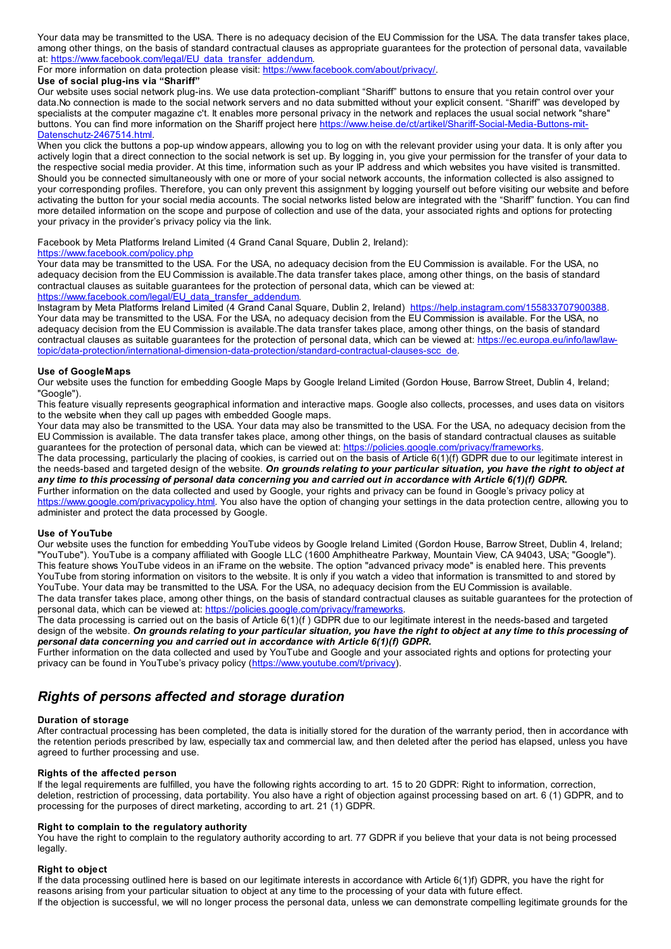Your data may be transmitted to the USA. There is no adequacy decision of the EU Commission for the USA. The data transfer takes place, among other things, on the basis of standard contractual clauses as appropriate guarantees for the protection of personal data, vavailable at: [https://www.facebook.com/legal/EU\\_data\\_transfer\\_addendum](https://www.facebook.com/legal/EU_data_transfer_addendum).

For more information on data protection please visit: <https://www.facebook.com/about/privacy/>.

### **Use of social plug-ins via "Shariff"**

Our website uses social network plug-ins. We use data protection-compliant "Shariff" buttons to ensure that you retain control over your data.No connection is made to the social network servers and no data submitted without your explicit consent. "Shariff" was developed by specialists at the computer magazine c't. It enables more personal privacy in the network and replaces the usual social network "share" buttons. You can find more information on the Shariff project here [https://www.heise.de/ct/artikel/Shariff-Social-Media-Buttons-mit-](https://www.heise.de/ct/artikel/Shariff-Social-Media-Buttons-mit-Datenschutz-2467514.html)Datenschutz-2467514.html.

When you click the buttons a pop-up window appears, allowing you to log on with the relevant provider using your data. It is only after you actively login that a direct connection to the social network is set up. By logging in, you give your permission for the transfer of your data to the respective social media provider. At this time, information such as your IP address and which websites you have visited is transmitted. Should you be connected simultaneously with one or more of your social network accounts, the information collected is also assigned to your corresponding profiles. Therefore, you can only prevent this assignment by logging yourself out before visiting our website and before activating the button for your social media accounts. The social networks listed below are integrated with the "Shariff" function. You can find more detailed information on the scope and purpose of collection and use of the data, your associated rights and options for protecting your privacy in the provider's privacy policy via the link.

Facebook by Meta Platforms Ireland Limited (4 Grand Canal Square, Dublin 2, Ireland):

### <https://www.facebook.com/policy.php>

Your data may be transmitted to the USA. For the USA, no adequacy decision from the EU Commission is available. For the USA, no adequacy decision from the EU Commission is available.The data transfer takes place, among other things, on the basis of standard contractual clauses as suitable guarantees for the protection of personal data, which can be viewed at: [https://www.facebook.com/legal/EU\\_data\\_transfer\\_addendum](https://www.facebook.com/legal/EU_data_transfer_addendum).

Instagram by Meta Platforms Ireland Limited (4 Grand Canal Square, Dublin 2, Ireland) <https://help.instagram.com/155833707900388>. Your data may be transmitted to the USA. For the USA, no adequacy decision from the EU Commission is available. For the USA, no adequacy decision from the EU Commission is available.The data transfer takes place, among other things, on the basis of standard contractual clauses as suitable guarantees for the protection of personal data, which can be viewed at: https://ec.europa.eu/info/law/law[topic/data-protection/international-dimension-data-protection/standard-contractual-clauses-scc\\_de.](https://ec.europa.eu/info/law/law-topic/data-protection/international-dimension-data-protection/standard-contractual-clauses-scc_de)

### **Use of GoogleMaps**

Our website uses the function for embedding Google Maps by Google Ireland Limited (Gordon House, Barrow Street, Dublin 4, Ireland; "Google").

This feature visually represents geographical information and interactive maps. Google also collects, processes, and uses data on visitors to the website when they call up pages with embedded Google maps.

Your data may also be transmitted to the USA. Your data may also be transmitted to the USA. For the USA, no adequacy decision from the EU Commission is available. The data transfer takes place, among other things, on the basis of standard contractual clauses as suitable guarantees for the protection of personal data, which can be viewed at: <https://policies.google.com/privacy/frameworks>

The data processing, particularly the placing of cookies, is carried out on the basis of Article 6(1)(f) GDPR due to our legitimate interest in the needs-based and targeted design of the website. On grounds relating to your particular situation, you have the right to object at any time to this processing of personal data concerning you and carried out in accordance with Article 6(1)(f) GDPR. Further information on the data collected and used by Google, your rights and privacy can be found in Google's privacy policy at <https://www.google.com/privacypolicy.html>. You also have the option of changing your settings in the data protection centre, allowing you to administer and protect the data processed by Google.

### **Use of YouTube**

Our website uses the function for embedding YouTube videos by Google Ireland Limited (Gordon House, Barrow Street, Dublin 4, Ireland; "YouTube"). YouTube is a company affiliated with Google LLC (1600 Amphitheatre Parkway, Mountain View, CA 94043, USA; "Google"). This feature shows YouTube videos in an iFrame on the website. The option "advanced privacy mode" is enabled here. This prevents YouTube from storing information on visitors to the website. It is only if you watch a video that information is transmitted to and stored by YouTube. Your data may be transmitted to the USA. For the USA, no adequacy decision from the EU Commission is available. The data transfer takes place, among other things, on the basis of standard contractual clauses as suitable guarantees for the protection of personal data, which can be viewed at: <https://policies.google.com/privacy/frameworks>.

The data processing is carried out on the basis of Article 6(1)(f ) GDPR due to our legitimate interest in the needs-based and targeted design of the website. On grounds relating to your particular situation, you have the right to object at any time to this processing of *personal data concerning you and carried out in accordance with Article 6(1)(f) GDPR.*

Further information on the data collected and used by YouTube and Google and your associated rights and options for protecting your privacy can be found in YouTube's privacy policy (<https://www.youtube.com/t/privacy>).

# *Rights of persons affected and storage duration*

### **Duration of storage**

After contractual processing has been completed, the data is initially stored for the duration of the warranty period, then in accordance with the retention periods prescribed by law, especially tax and commercial law, and then deleted after the period has elapsed, unless you have agreed to further processing and use.

### **Rights of the affected person**

If the legal requirements are fulfilled, you have the following rights according to art. 15 to 20 GDPR: Right to information, correction, deletion, restriction of processing, data portability. You also have a right of objection against processing based on art. 6 (1) GDPR, and to processing for the purposes of direct marketing, according to art. 21 (1) GDPR.

### **Right to complain to the regulatory authority**

You have the right to complain to the regulatory authority according to art. 77 GDPR if you believe that your data is not being processed legally.

### **Right to object**

If the data processing outlined here is based on our legitimate interests in accordance with Article 6(1)f) GDPR, you have the right for reasons arising from your particular situation to object at any time to the processing of your data with future effect. If the objection is successful, we will no longer process the personal data, unless we can demonstrate compelling legitimate grounds for the